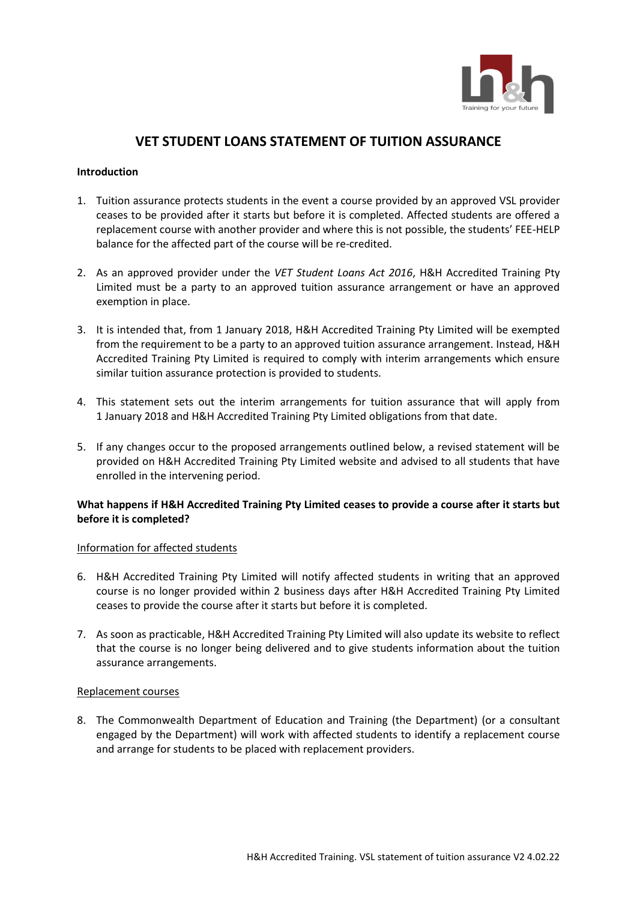

# **VET STUDENT LOANS STATEMENT OF TUITION ASSURANCE**

## **Introduction**

- 1. Tuition assurance protects students in the event a course provided by an approved VSL provider ceases to be provided after it starts but before it is completed. Affected students are offered a replacement course with another provider and where this is not possible, the students' FEE-HELP balance for the affected part of the course will be re-credited.
- 2. As an approved provider under the *VET Student Loans Act 2016*, H&H Accredited Training Pty Limited must be a party to an approved tuition assurance arrangement or have an approved exemption in place.
- 3. It is intended that, from 1 January 2018, H&H Accredited Training Pty Limited will be exempted from the requirement to be a party to an approved tuition assurance arrangement. Instead, H&H Accredited Training Pty Limited is required to comply with interim arrangements which ensure similar tuition assurance protection is provided to students.
- 4. This statement sets out the interim arrangements for tuition assurance that will apply from 1 January 2018 and H&H Accredited Training Pty Limited obligations from that date.
- 5. If any changes occur to the proposed arrangements outlined below, a revised statement will be provided on H&H Accredited Training Pty Limited website and advised to all students that have enrolled in the intervening period.

## **What happens if H&H Accredited Training Pty Limited ceases to provide a course after it starts but before it is completed?**

#### Information for affected students

- 6. H&H Accredited Training Pty Limited will notify affected students in writing that an approved course is no longer provided within 2 business days after H&H Accredited Training Pty Limited ceases to provide the course after it starts but before it is completed.
- 7. As soon as practicable, H&H Accredited Training Pty Limited will also update its website to reflect that the course is no longer being delivered and to give students information about the tuition assurance arrangements.

### Replacement courses

8. The Commonwealth Department of Education and Training (the Department) (or a consultant engaged by the Department) will work with affected students to identify a replacement course and arrange for students to be placed with replacement providers.